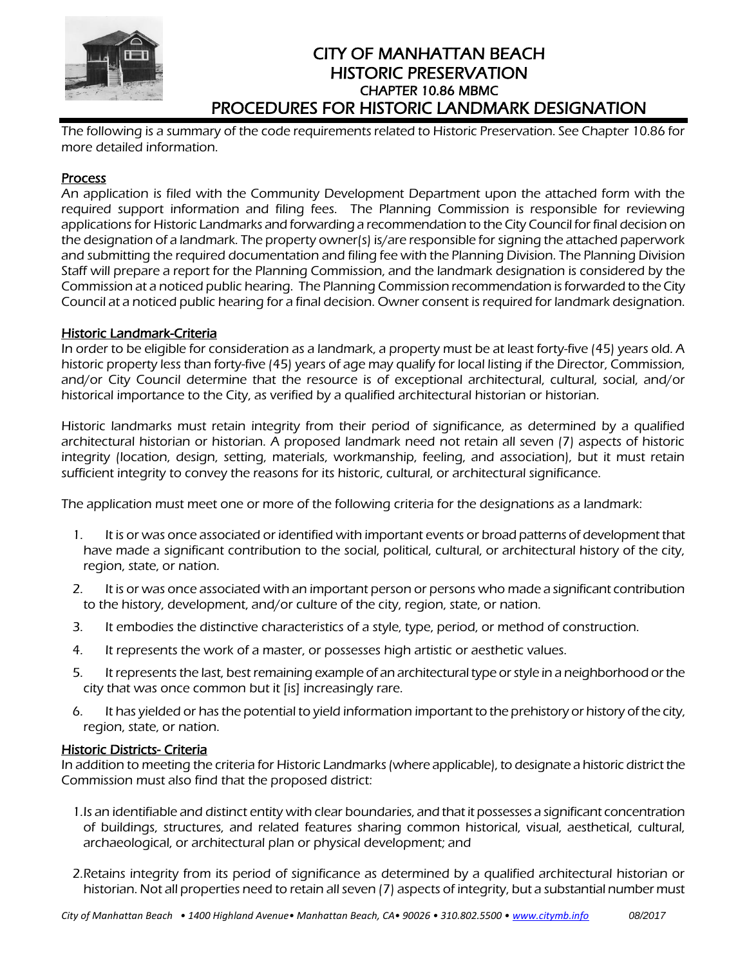

# CITY OF MANHATTAN BEACH HISTORIC PRESERVATION CHAPTER 10.86 MBMC PROCEDURES FOR HISTORIC LANDMARK DESIGNATION

The following is a summary of the code requirements related to Historic Preservation. See Chapter 10.86 for more detailed information.

# Process

An application is filed with the Community Development Department upon the attached form with the required support information and filing fees. The Planning Commission is responsible for reviewing applications for Historic Landmarks and forwarding a recommendation to the City Council for final decision on the designation of a landmark. The property owner(s) is/are responsible for signing the attached paperwork and submitting the required documentation and filing fee with the Planning Division. The Planning Division Staff will prepare a report for the Planning Commission, and the landmark designation is considered by the Commission at a noticed public hearing. The Planning Commission recommendation is forwarded to the City Council at a noticed public hearing for a final decision. Owner consent is required for landmark designation.

# Historic Landmark-Criteria

In order to be eligible for consideration as a landmark, a property must be at least forty-five (45) years old. A historic property less than forty-five (45) years of age may qualify for local listing if the Director, Commission, and/or City Council determine that the resource is of exceptional architectural, cultural, social, and/or historical importance to the City, as verified by a qualified architectural historian or historian.

Historic landmarks must retain integrity from their period of significance, as determined by a qualified architectural historian or historian. A proposed landmark need not retain all seven (7) aspects of historic integrity (location, design, setting, materials, workmanship, feeling, and association), but it must retain sufficient integrity to convey the reasons for its historic, cultural, or architectural significance.

The application must meet one or more of the following criteria for the designations as a landmark:

- 1. It is or was once associated or identified with important events or broad patterns of development that have made a significant contribution to the social, political, cultural, or architectural history of the city, region, state, or nation.
- 2. It is or was once associated with an important person or persons who made a significant contribution to the history, development, and/or culture of the city, region, state, or nation.
- 3. It embodies the distinctive characteristics of a style, type, period, or method of construction.
- 4. It represents the work of a master, or possesses high artistic or aesthetic values.
- 5. It represents the last, best remaining example of an architectural type or style in a neighborhood or the city that was once common but it [is] increasingly rare.
- 6. It has yielded or has the potential to yield information important to the prehistory or history of the city, region, state, or nation.

# Historic Districts- Criteria

In addition to meeting the criteria for Historic Landmarks (where applicable), to designate a historic district the Commission must also find that the proposed district:

- 1.Is an identifiable and distinct entity with clear boundaries, and that it possesses a significant concentration of buildings, structures, and related features sharing common historical, visual, aesthetical, cultural, archaeological, or architectural plan or physical development; and
- 2.Retains integrity from its period of significance as determined by a qualified architectural historian or historian. Not all properties need to retain all seven (7) aspects of integrity, but a substantial number must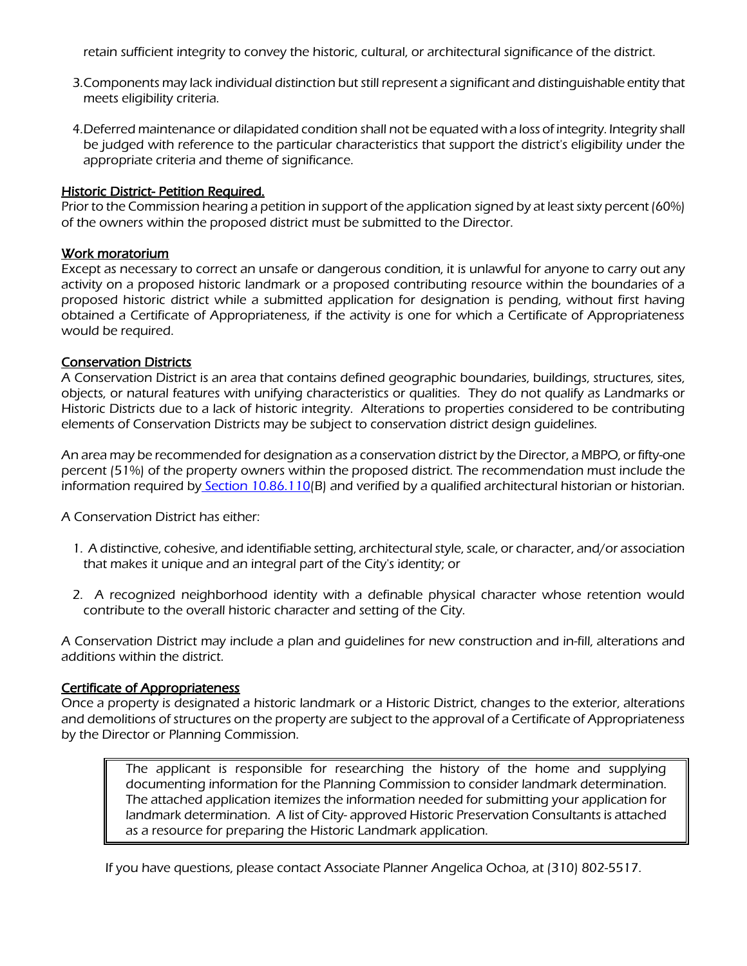retain sufficient integrity to convey the historic, cultural, or architectural significance of the district.

- 3.Components may lack individual distinction but still represent a significant and distinguishable entity that meets eligibility criteria.
- 4.Deferred maintenance or dilapidated condition shall not be equated with a loss of integrity. Integrity shall be judged with reference to the particular characteristics that support the district's eligibility under the appropriate criteria and theme of significance.

# **Historic District- Petition Required.**

Prior to the Commission hearing a petition in support of the application signed by at least sixty percent (60%) of the owners within the proposed district must be submitted to the Director.

# Work moratorium

Except as necessary to correct an unsafe or dangerous condition, it is unlawful for anyone to carry out any activity on a proposed historic landmark or a proposed contributing resource within the boundaries of a proposed historic district while a submitted application for designation is pending, without first having obtained a Certificate of Appropriateness, if the activity is one for which a Certificate of Appropriateness would be required.

# Conservation Districts

A Conservation District is an area that contains defined geographic boundaries, buildings, structures, sites, objects, or natural features with unifying characteristics or qualities. They do not qualify as Landmarks or Historic Districts due to a lack of historic integrity. Alterations to properties considered to be contributing elements of Conservation Districts may be subject to conservation district design guidelines.

An area may be recommended for designation as a conservation district by the Director, a MBPO, or fifty-one percent (51%) of the property owners within the proposed district. The recommendation must include the information required by [Section 10.86.110\(](https://library.municode.com/ca/manhattan_beach/codes/code_of_ordinances?nodeId=TIT10PLZO_PTVMIRE_CH10.86HIPR_10.86.110DEPRISDI)B) and verified by a qualified architectural historian or historian.

A Conservation District has either:

- 1. A distinctive, cohesive, and identifiable setting, architectural style, scale, or character, and/or association that makes it unique and an integral part of the City's identity; or
- 2. A recognized neighborhood identity with a definable physical character whose retention would contribute to the overall historic character and setting of the City.

A Conservation District may include a plan and guidelines for new construction and in-fill, alterations and additions within the district.

#### Certificate of Appropriateness

Once a property is designated a historic landmark or a Historic District, changes to the exterior, alterations and demolitions of structures on the property are subject to the approval of a Certificate of Appropriateness by the Director or Planning Commission.

The applicant is responsible for researching the history of the home and supplying documenting information for the Planning Commission to consider landmark determination. The attached application itemizes the information needed for submitting your application for landmark determination. A list of City- approved Historic Preservation Consultants is attached as a resource for preparing the Historic Landmark application.

If you have questions, please contact Associate Planner Angelica Ochoa, at (310) 802-5517.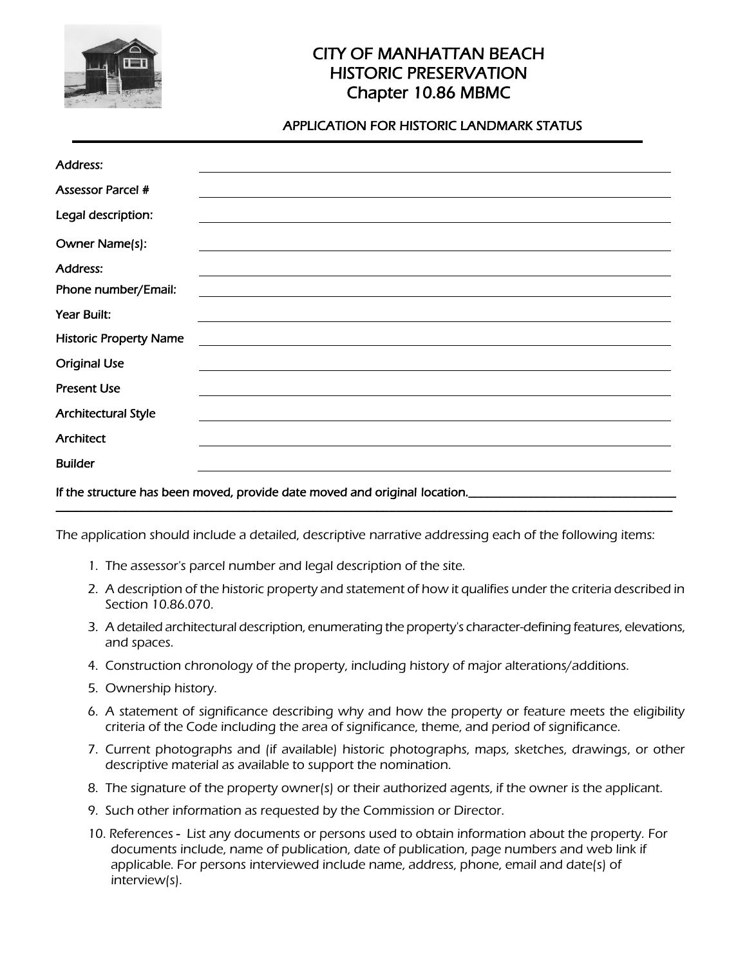

# CITY OF MANHATTAN BEACH HISTORIC PRESERVATION Chapter 10.86 MBMC

# APPLICATION FOR HISTORIC LANDMARK STATUS

| <b>Address:</b>                                                                                               |                                                                                                                       |
|---------------------------------------------------------------------------------------------------------------|-----------------------------------------------------------------------------------------------------------------------|
| <b>Assessor Parcel #</b>                                                                                      |                                                                                                                       |
| Legal description:                                                                                            |                                                                                                                       |
| Owner Name(s):                                                                                                |                                                                                                                       |
| <b>Address:</b>                                                                                               | ,我们也不会有什么。""我们的人,我们也不会有什么?""我们的人,我们也不会有什么?""我们的人,我们也不会有什么?""我们的人,我们也不会有什么?""我们的人                                      |
| Phone number/Email:                                                                                           | <u> 1989 - Jan Samuel Barbara, martin da shekara tsara 1989 - Andrea Samuel Barbara, marka 1989 - Andrea Samuel B</u> |
| Year Built:                                                                                                   |                                                                                                                       |
| <b>Historic Property Name</b>                                                                                 |                                                                                                                       |
| <b>Original Use</b>                                                                                           |                                                                                                                       |
| <b>Present Use</b>                                                                                            |                                                                                                                       |
| <b>Architectural Style</b>                                                                                    | ,我们也不会有什么。""我们的人,我们也不会有什么?""我们的人,我们也不会有什么?""我们的人,我们也不会有什么?""我们的人,我们也不会有什么?""我们的人                                      |
| Architect                                                                                                     |                                                                                                                       |
| <b>Builder</b>                                                                                                |                                                                                                                       |
| If the structure has been moved, provide date moved and original location. __________________________________ |                                                                                                                       |

The application should include a detailed, descriptive narrative addressing each of the following items:

- 1. The assessor's parcel number and legal description of the site.
- 2. A description of the historic property and statement of how it qualifies under the criteria described in Section 10.86.070.
- 3. A detailed architectural description, enumerating the property's character-defining features, elevations, and spaces.
- 4. Construction chronology of the property, including history of major alterations/additions.
- 5. Ownership history.
- 6. A statement of significance describing why and how the property or feature meets the eligibility criteria of the Code including the area of significance, theme, and period of significance.
- 7. Current photographs and (if available) historic photographs, maps, sketches, drawings, or other descriptive material as available to support the nomination.
- 8. The signature of the property owner(s) or their authorized agents, if the owner is the applicant.
- 9. Such other information as requested by the Commission or Director.
- 10. References List any documents or persons used to obtain information about the property. For documents include, name of publication, date of publication, page numbers and web link if applicable. For persons interviewed include name, address, phone, email and date(s) of interview(s).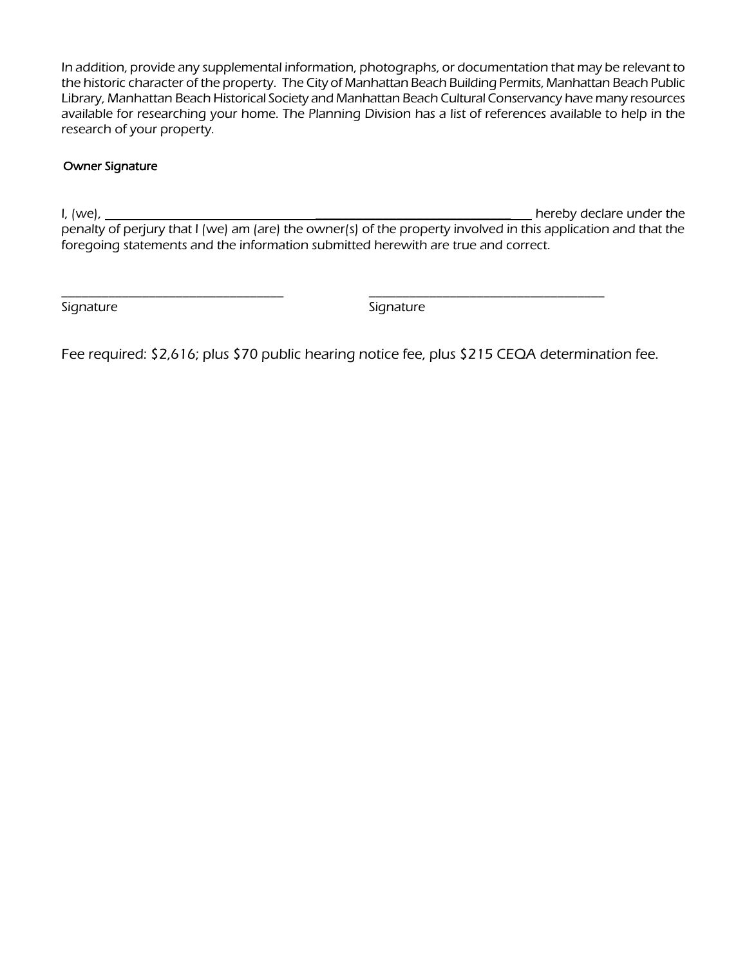In addition, provide any supplemental information, photographs, or documentation that may be relevant to the historic character of the property. The City of Manhattan Beach Building Permits, Manhattan Beach Public Library, Manhattan Beach Historical Society and Manhattan Beach Cultural Conservancy have many resources available for researching your home. The Planning Division has a list of references available to help in the research of your property.

# Owner Signature

I, (we), \_\_\_\_\_\_\_\_\_\_\_\_\_\_\_\_\_\_\_\_\_\_\_\_\_\_\_\_\_ hereby declare under the penalty of perjury that I (we) am (are) the owner(s) of the property involved in this application and that the foregoing statements and the information submitted herewith are true and correct.

Signature Signature Signature

Fee required: \$2,616; plus \$70 public hearing notice fee, plus \$215 CEQA determination fee.

\_\_\_\_\_\_\_\_\_\_\_\_\_\_\_\_\_\_\_\_\_\_\_\_\_\_\_\_\_\_\_\_\_ \_\_\_\_\_\_\_\_\_\_\_\_\_\_\_\_\_\_\_\_\_\_\_\_\_\_\_\_\_\_\_\_\_\_\_